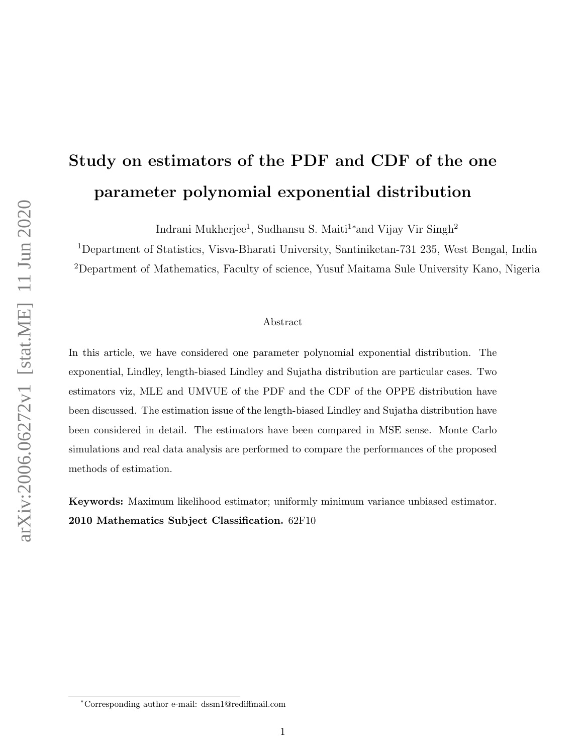# Study on estimators of the PDF and CDF of the one parameter polynomial exponential distribution

Indrani Mukherjee<sup>1</sup>, Sudhansu S. Maiti<sup>1</sup>\*and Vijay Vir Singh<sup>2</sup>

<sup>1</sup>Department of Statistics, Visva-Bharati University, Santiniketan-731 235, West Bengal, India <sup>2</sup>Department of Mathematics, Faculty of science, Yusuf Maitama Sule University Kano, Nigeria

#### Abstract

In this article, we have considered one parameter polynomial exponential distribution. The exponential, Lindley, length-biased Lindley and Sujatha distribution are particular cases. Two estimators viz, MLE and UMVUE of the PDF and the CDF of the OPPE distribution have been discussed. The estimation issue of the length-biased Lindley and Sujatha distribution have been considered in detail. The estimators have been compared in MSE sense. Monte Carlo simulations and real data analysis are performed to compare the performances of the proposed methods of estimation.

Keywords: Maximum likelihood estimator; uniformly minimum variance unbiased estimator. 2010 Mathematics Subject Classification. 62F10

<sup>∗</sup>Corresponding author e-mail: dssm1@rediffmail.com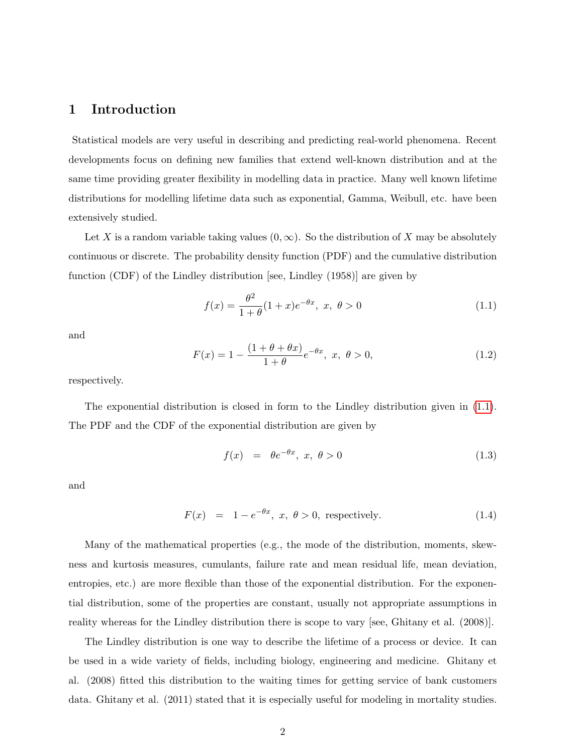## 1 Introduction

Statistical models are very useful in describing and predicting real-world phenomena. Recent developments focus on defining new families that extend well-known distribution and at the same time providing greater flexibility in modelling data in practice. Many well known lifetime distributions for modelling lifetime data such as exponential, Gamma, Weibull, etc. have been extensively studied.

Let X is a random variable taking values  $(0, \infty)$ . So the distribution of X may be absolutely continuous or discrete. The probability density function (PDF) and the cumulative distribution function (CDF) of the Lindley distribution [see, Lindley (1958)] are given by

<span id="page-1-0"></span>
$$
f(x) = \frac{\theta^2}{1+\theta}(1+x)e^{-\theta x}, \ x, \ \theta > 0 \tag{1.1}
$$

and

$$
F(x) = 1 - \frac{(1 + \theta + \theta x)}{1 + \theta} e^{-\theta x}, \ x, \ \theta > 0,
$$
\n(1.2)

respectively.

The exponential distribution is closed in form to the Lindley distribution given in (1.[1\)](#page-1-0). The PDF and the CDF of the exponential distribution are given by

$$
f(x) = \theta e^{-\theta x}, \ x, \ \theta > 0 \tag{1.3}
$$

and

$$
F(x) = 1 - e^{-\theta x}, \ x, \ \theta > 0, \ \text{respectively.} \tag{1.4}
$$

Many of the mathematical properties (e.g., the mode of the distribution, moments, skewness and kurtosis measures, cumulants, failure rate and mean residual life, mean deviation, entropies, etc.) are more flexible than those of the exponential distribution. For the exponential distribution, some of the properties are constant, usually not appropriate assumptions in reality whereas for the Lindley distribution there is scope to vary [see, Ghitany et al. (2008)].

The Lindley distribution is one way to describe the lifetime of a process or device. It can be used in a wide variety of fields, including biology, engineering and medicine. Ghitany et al. (2008) fitted this distribution to the waiting times for getting service of bank customers data. Ghitany et al. (2011) stated that it is especially useful for modeling in mortality studies.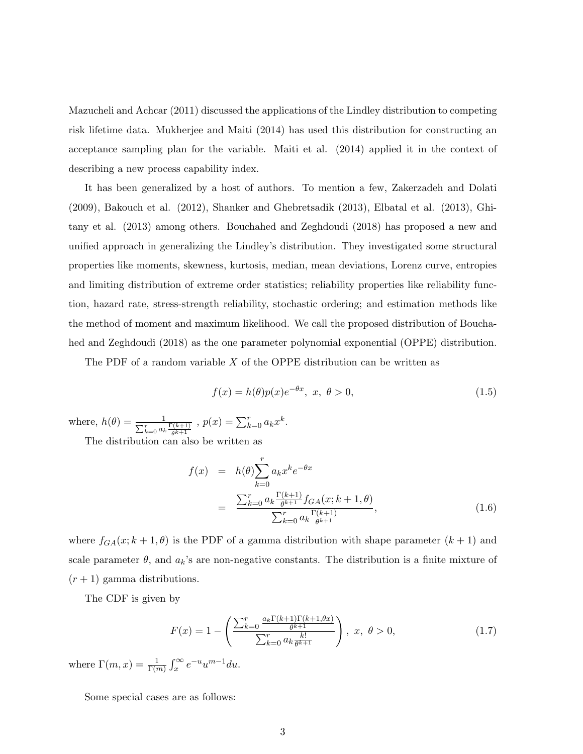Mazucheli and Achcar (2011) discussed the applications of the Lindley distribution to competing risk lifetime data. Mukherjee and Maiti (2014) has used this distribution for constructing an acceptance sampling plan for the variable. Maiti et al. (2014) applied it in the context of describing a new process capability index.

It has been generalized by a host of authors. To mention a few, Zakerzadeh and Dolati (2009), Bakouch et al. (2012), Shanker and Ghebretsadik (2013), Elbatal et al. (2013), Ghitany et al. (2013) among others. Bouchahed and Zeghdoudi (2018) has proposed a new and unified approach in generalizing the Lindley's distribution. They investigated some structural properties like moments, skewness, kurtosis, median, mean deviations, Lorenz curve, entropies and limiting distribution of extreme order statistics; reliability properties like reliability function, hazard rate, stress-strength reliability, stochastic ordering; and estimation methods like the method of moment and maximum likelihood. We call the proposed distribution of Bouchahed and Zeghdoudi (2018) as the one parameter polynomial exponential (OPPE) distribution.

The PDF of a random variable  $X$  of the OPPE distribution can be written as

$$
f(x) = h(\theta)p(x)e^{-\theta x}, \ x, \ \theta > 0,
$$
\n(1.5)

where,  $h(\theta) = \frac{1}{\sum_{k=0}^{r} a_k \frac{\Gamma(k+1)}{\theta^{k+1}}}$ ,  $p(x) = \sum_{k=0}^{r} a_k x^k$ .

The distribution can also be written as

<span id="page-2-0"></span>
$$
f(x) = h(\theta) \sum_{k=0}^{r} a_k x^k e^{-\theta x}
$$
  
= 
$$
\frac{\sum_{k=0}^{r} a_k \frac{\Gamma(k+1)}{\theta^{k+1}} f_{GA}(x; k+1, \theta)}{\sum_{k=0}^{r} a_k \frac{\Gamma(k+1)}{\theta^{k+1}}},
$$
 (1.6)

where  $f_{GA}(x; k+1, \theta)$  is the PDF of a gamma distribution with shape parameter  $(k+1)$  and scale parameter  $\theta$ , and  $a_k$ 's are non-negative constants. The distribution is a finite mixture of  $(r+1)$  gamma distributions.

The CDF is given by

<span id="page-2-1"></span>
$$
F(x) = 1 - \left(\frac{\sum_{k=0}^{r} \frac{a_k \Gamma(k+1) \Gamma(k+1, \theta x)}{\theta^{k+1}}}{\sum_{k=0}^{r} a_k \frac{k!}{\theta^{k+1}}}\right), \ x, \ \theta > 0,
$$
 (1.7)

where  $\Gamma(m, x) = \frac{1}{\Gamma(m)} \int_x^{\infty} e^{-u} u^{m-1} du$ .

Some special cases are as follows: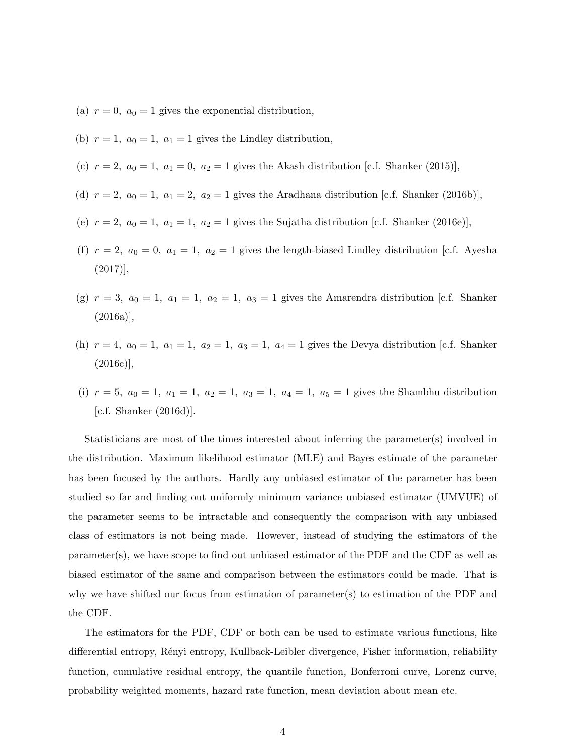- (a)  $r = 0$ ,  $a_0 = 1$  gives the exponential distribution,
- (b)  $r = 1$ ,  $a_0 = 1$ ,  $a_1 = 1$  gives the Lindley distribution,
- (c)  $r = 2$ ,  $a_0 = 1$ ,  $a_1 = 0$ ,  $a_2 = 1$  gives the Akash distribution [c.f. Shanker (2015)],
- (d)  $r = 2$ ,  $a_0 = 1$ ,  $a_1 = 2$ ,  $a_2 = 1$  gives the Aradhana distribution [c.f. Shanker (2016b)],
- (e)  $r = 2$ ,  $a_0 = 1$ ,  $a_1 = 1$ ,  $a_2 = 1$  gives the Sujatha distribution [c.f. Shanker (2016e)],
- (f)  $r = 2$ ,  $a_0 = 0$ ,  $a_1 = 1$ ,  $a_2 = 1$  gives the length-biased Lindley distribution [c.f. Ayesha  $(2017)$ ],
- (g)  $r = 3$ ,  $a_0 = 1$ ,  $a_1 = 1$ ,  $a_2 = 1$ ,  $a_3 = 1$  gives the Amarendra distribution [c.f. Shanker (2016a)],
- (h)  $r = 4$ ,  $a_0 = 1$ ,  $a_1 = 1$ ,  $a_2 = 1$ ,  $a_3 = 1$ ,  $a_4 = 1$  gives the Devya distribution [c.f. Shanker (2016c)],
- (i)  $r = 5$ ,  $a_0 = 1$ ,  $a_1 = 1$ ,  $a_2 = 1$ ,  $a_3 = 1$ ,  $a_4 = 1$ ,  $a_5 = 1$  gives the Shambhu distribution [c.f. Shanker (2016d)].

Statisticians are most of the times interested about inferring the parameter(s) involved in the distribution. Maximum likelihood estimator (MLE) and Bayes estimate of the parameter has been focused by the authors. Hardly any unbiased estimator of the parameter has been studied so far and finding out uniformly minimum variance unbiased estimator (UMVUE) of the parameter seems to be intractable and consequently the comparison with any unbiased class of estimators is not being made. However, instead of studying the estimators of the parameter(s), we have scope to find out unbiased estimator of the PDF and the CDF as well as biased estimator of the same and comparison between the estimators could be made. That is why we have shifted our focus from estimation of parameter(s) to estimation of the PDF and the CDF.

The estimators for the PDF, CDF or both can be used to estimate various functions, like differential entropy, Rényi entropy, Kullback-Leibler divergence, Fisher information, reliability function, cumulative residual entropy, the quantile function, Bonferroni curve, Lorenz curve, probability weighted moments, hazard rate function, mean deviation about mean etc.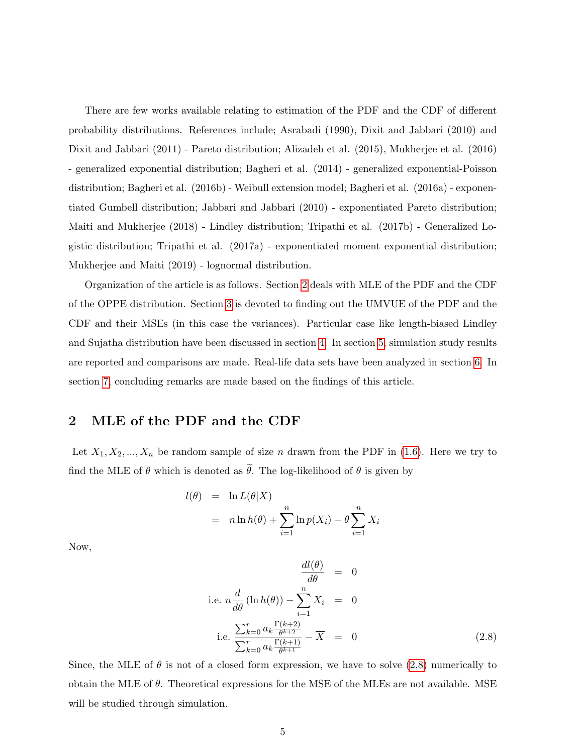There are few works available relating to estimation of the PDF and the CDF of different probability distributions. References include; Asrabadi (1990), Dixit and Jabbari (2010) and Dixit and Jabbari (2011) - Pareto distribution; Alizadeh et al. (2015), Mukherjee et al. (2016) - generalized exponential distribution; Bagheri et al. (2014) - generalized exponential-Poisson distribution; Bagheri et al. (2016b) - Weibull extension model; Bagheri et al. (2016a) - exponentiated Gumbell distribution; Jabbari and Jabbari (2010) - exponentiated Pareto distribution; Maiti and Mukherjee (2018) - Lindley distribution; Tripathi et al. (2017b) - Generalized Logistic distribution; Tripathi et al. (2017a) - exponentiated moment exponential distribution; Mukherjee and Maiti (2019) - lognormal distribution.

Organization of the article is as follows. Section [2](#page-4-0) deals with MLE of the PDF and the CDF of the OPPE distribution. Section [3](#page-5-0) is devoted to finding out the UMVUE of the PDF and the CDF and their MSEs (in this case the variances). Particular case like length-biased Lindley and Sujatha distribution have been discussed in section [4.](#page-8-0) In section [5,](#page-12-0) simulation study results are reported and comparisons are made. Real-life data sets have been analyzed in section [6.](#page-13-0) In section [7,](#page-16-0) concluding remarks are made based on the findings of this article.

## <span id="page-4-0"></span>2 MLE of the PDF and the CDF

Let  $X_1, X_2, ..., X_n$  be random sample of size n drawn from the PDF in [\(1.6\)](#page-2-0). Here we try to find the MLE of  $\theta$  which is denoted as  $\tilde{\theta}$ . The log-likelihood of  $\theta$  is given by

$$
l(\theta) = \ln L(\theta|X)
$$
  
=  $n \ln h(\theta) + \sum_{i=1}^{n} \ln p(X_i) - \theta \sum_{i=1}^{n} X_i$ 

Now,

<span id="page-4-1"></span>
$$
\frac{dl(\theta)}{d\theta} = 0
$$
\ni.e.  $n \frac{d}{d\theta} (\ln h(\theta)) - \sum_{i=1}^{n} X_i = 0$   
\ni.e. 
$$
\frac{\sum_{k=0}^{r} a_k \frac{\Gamma(k+2)}{\theta^{k+2}}}{\sum_{k=0}^{r} a_k \frac{\Gamma(k+1)}{\theta^{k+1}}} - \overline{X} = 0
$$
\n(2.8)

Since, the MLE of  $\theta$  is not of a closed form expression, we have to solve (2.[8\)](#page-4-1) numerically to obtain the MLE of  $\theta$ . Theoretical expressions for the MSE of the MLEs are not available. MSE will be studied through simulation.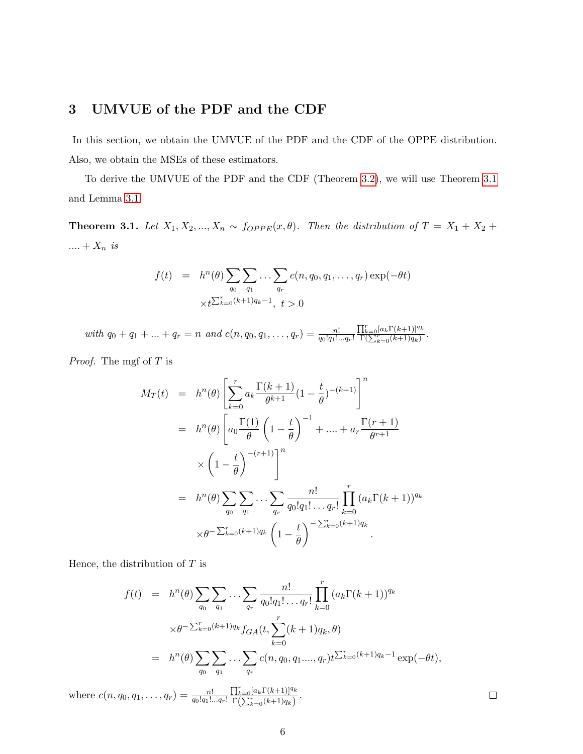## <span id="page-5-0"></span>3 UMVUE of the PDF and the CDF

In this section, we obtain the UMVUE of the PDF and the CDF of the OPPE distribution. Also, we obtain the MSEs of these estimators.

To derive the UMVUE of the PDF and the CDF (Theorem [3](#page-6-0).2), we will use Theorem [3](#page-5-1).1 and Lemma [3](#page-6-1).1.

<span id="page-5-1"></span>**Theorem 3.1.** Let  $X_1, X_2, ..., X_n \sim f_{OPPE}(x, \theta)$ . Then the distribution of  $T = X_1 + X_2 +$ .... +  $X_n$  is

$$
f(t) = h^{n}(\theta) \sum_{q_0} \sum_{q_1} \dots \sum_{q_r} c(n, q_0, q_1, \dots, q_r) \exp(-\theta t)
$$
  
 
$$
\times t^{\sum_{k=0}^r (k+1)q_k - 1}, \ t > 0
$$

with  $q_0 + q_1 + \ldots + q_r = n$  and  $c(n, q_0, q_1, \ldots, q_r) = \frac{n!}{q_0! q_1! \ldots q_r!}$  $\frac{\prod_{k=0}^r [a_k \Gamma(k+1)]^{q_k}}{\Gamma(\sum_{k=0}^r (k+1)q_k)}$ 

Proof. The mgf of T is

$$
M_T(t) = h^n(\theta) \left[ \sum_{k=0}^r a_k \frac{\Gamma(k+1)}{\theta^{k+1}} (1 - \frac{t}{\theta})^{-(k+1)} \right]^n
$$
  
\n
$$
= h^n(\theta) \left[ a_0 \frac{\Gamma(1)}{\theta} \left( 1 - \frac{t}{\theta} \right)^{-1} + \dots + a_r \frac{\Gamma(r+1)}{\theta^{r+1}} \right]
$$
  
\n
$$
\times \left( 1 - \frac{t}{\theta} \right)^{-(r+1)} \right]^n
$$
  
\n
$$
= h^n(\theta) \sum_{q_0} \sum_{q_1} \dots \sum_{q_r} \frac{n!}{q_0! q_1! \dots q_r!} \prod_{k=0}^r (a_k \Gamma(k+1))^{q_k}
$$
  
\n
$$
\times \theta^{-\sum_{k=0}^r (k+1) q_k} \left( 1 - \frac{t}{\theta} \right)^{-\sum_{k=0}^r (k+1) q_k}
$$

Hence, the distribution of  $T$  is

$$
f(t) = h^{n}(\theta) \sum_{q_0} \sum_{q_1} \cdots \sum_{q_r} \frac{n!}{q_0! q_1! \cdots q_r!} \prod_{k=0}^r (a_k \Gamma(k+1))^{q_k}
$$
  

$$
\times \theta^{-\sum_{k=0}^r (k+1)q_k} f_{GA}(t, \sum_{k=0}^r (k+1)q_k, \theta)
$$
  

$$
= h^{n}(\theta) \sum_{q_0} \sum_{q_1} \cdots \sum_{q_r} c(n, q_0, q_1, \ldots, q_r) t^{\sum_{k=0}^r (k+1)q_k - 1} \exp(-\theta t),
$$

where  $c(n, q_0, q_1, \ldots, q_r) = \frac{n!}{q_0!q_1!\ldots q_r!}$  $\prod_{k=0}^{r} [a_k \Gamma(k+1)]^{q_k}$  $\frac{\prod_{k=0}^{\infty} [a_k \Gamma(\kappa+1)]^{\tau_{\kappa}}}{\Gamma(\sum_{k=0}^{r} (k+1)q_k)}$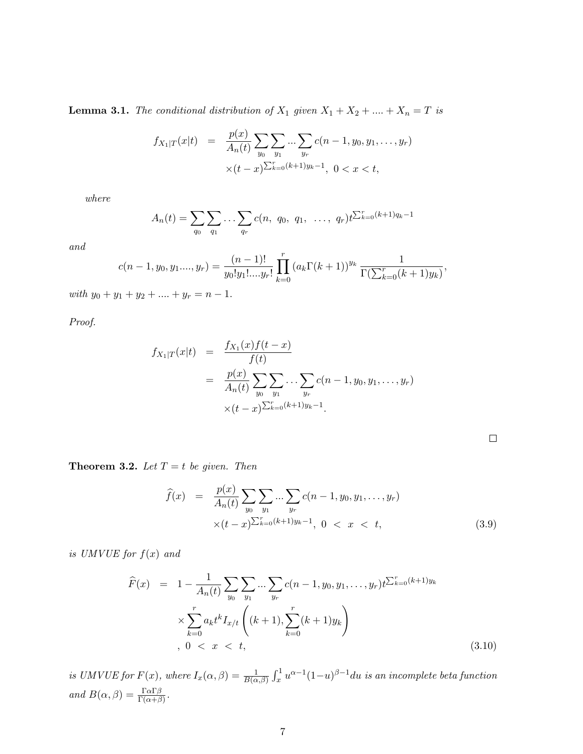<span id="page-6-1"></span>**Lemma 3.1.** The conditional distribution of  $X_1$  given  $X_1 + X_2 + \ldots + X_n = T$  is

$$
f_{X_1|T}(x|t) = \frac{p(x)}{A_n(t)} \sum_{y_0} \sum_{y_1} \dots \sum_{y_r} c(n-1, y_0, y_1, \dots, y_r)
$$
  
 
$$
\times (t-x)^{\sum_{k=0}^r (k+1)y_k - 1}, \ 0 < x < t,
$$

where

$$
A_n(t) = \sum_{q_0} \sum_{q_1} \dots \sum_{q_r} c(n, q_0, q_1, \dots, q_r) t^{\sum_{k=0}^r (k+1)q_k - 1}
$$

and

$$
c(n-1, y_0, y_1, \ldots, y_r) = \frac{(n-1)!}{y_0! y_1! \ldots y_r!} \prod_{k=0}^r (a_k \Gamma(k+1))^{y_k} \frac{1}{\Gamma(\sum_{k=0}^r (k+1)y_k)},
$$

with  $y_0 + y_1 + y_2 + \ldots + y_r = n - 1$ .

Proof.

$$
f_{X_1|T}(x|t) = \frac{f_{X_1}(x)f(t-x)}{f(t)}
$$
  
= 
$$
\frac{p(x)}{A_n(t)} \sum_{y_0} \sum_{y_1} \dots \sum_{y_r} c(n-1, y_0, y_1, \dots, y_r)
$$
  

$$
\times (t-x)^{\sum_{k=0}^r (k+1)y_k - 1}.
$$

<span id="page-6-0"></span>**Theorem 3.2.** Let  $T = t$  be given. Then

$$
\widehat{f}(x) = \frac{p(x)}{A_n(t)} \sum_{y_0} \sum_{y_1} \dots \sum_{y_r} c(n-1, y_0, y_1, \dots, y_r) \times (t-x)^{\sum_{k=0}^r (k+1)y_k - 1}, \ 0 < x < t,
$$
\n(3.9)

is UMVUE for  $f(x)$  and

$$
\widehat{F}(x) = 1 - \frac{1}{A_n(t)} \sum_{y_0} \sum_{y_1} \dots \sum_{y_r} c(n-1, y_0, y_1, \dots, y_r) t^{\sum_{k=0}^r (k+1)y_k}
$$
\n
$$
\times \sum_{k=0}^r a_k t^k I_{x/t} \left( (k+1), \sum_{k=0}^r (k+1)y_k \right)
$$
\n
$$
0 < x < t,\tag{3.10}
$$

is UMVUE for  $F(x)$ , where  $I_x(\alpha, \beta) = \frac{1}{B(\alpha, \beta)} \int_x^1 u^{\alpha-1} (1-u)^{\beta-1} du$  is an incomplete beta function and  $B(\alpha, \beta) = \frac{\Gamma \alpha \Gamma \beta}{\Gamma(\alpha + \beta)}$ .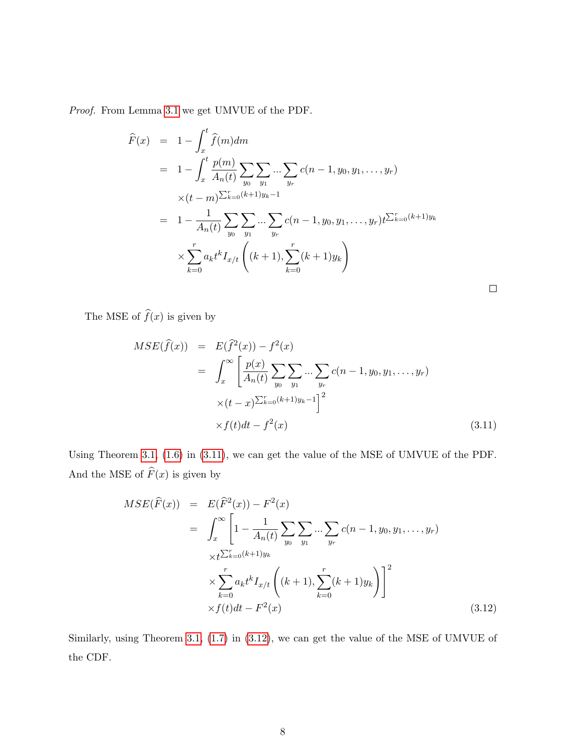Proof. From Lemma [3](#page-6-1).1 we get UMVUE of the PDF.

$$
\widehat{F}(x) = 1 - \int_{x}^{t} \widehat{f}(m) dm
$$
\n
$$
= 1 - \int_{x}^{t} \frac{p(m)}{A_n(t)} \sum_{y_0} \sum_{y_1} \dots \sum_{y_r} c(n-1, y_0, y_1, \dots, y_r)
$$
\n
$$
\times (t - m)^{\sum_{k=0}^{r} (k+1)y_k - 1}
$$
\n
$$
= 1 - \frac{1}{A_n(t)} \sum_{y_0} \sum_{y_1} \dots \sum_{y_r} c(n-1, y_0, y_1, \dots, y_r) t^{\sum_{k=0}^{r} (k+1)y_k}
$$
\n
$$
\times \sum_{k=0}^{r} a_k t^k I_{x/t} \left( (k+1), \sum_{k=0}^{r} (k+1) y_k \right)
$$

The MSE of  $\widehat{f}(x)$  is given by

<span id="page-7-0"></span>
$$
MSE(\hat{f}(x)) = E(\hat{f}^{2}(x)) - f^{2}(x)
$$
  
= 
$$
\int_{x}^{\infty} \left[ \frac{p(x)}{A_{n}(t)} \sum_{y_{0}} \sum_{y_{1}} ... \sum_{y_{r}} c(n-1, y_{0}, y_{1}, ..., y_{r}) \times (t-x)^{\sum_{k=0}^{r} (k+1)y_{k}-1} \right]^{2}
$$
  

$$
\times f(t)dt - f^{2}(x)
$$
(3.11)

 $\Box$ 

Using Theorem [3](#page-5-1).1, [\(1.6\)](#page-2-0) in [\(3.11\)](#page-7-0), we can get the value of the MSE of UMVUE of the PDF. And the MSE of  $\widehat{F}(x)$  is given by

<span id="page-7-1"></span>
$$
MSE(\widehat{F}(x)) = E(\widehat{F}^{2}(x)) - F^{2}(x)
$$
  
\n
$$
= \int_{x}^{\infty} \left[1 - \frac{1}{A_{n}(t)} \sum_{y_{0}} \sum_{y_{1}} ... \sum_{y_{r}} c(n-1, y_{0}, y_{1}, ..., y_{r}) + \sum_{\substack{k=0 \ k \neq 0}}^{r} \sum_{k=0}^{k+1} (k+1) y_{k} \right]
$$
  
\n
$$
\times \sum_{k=0}^{r} a_{k} t^{k} I_{x/t} \left( (k+1), \sum_{k=0}^{r} (k+1) y_{k} \right) \Big]^{2}
$$
  
\n
$$
\times f(t) dt - F^{2}(x)
$$
\n(3.12)

Similarly, using Theorem [3](#page-5-1).1, [\(1.7\)](#page-2-1) in [\(3.12\)](#page-7-1), we can get the value of the MSE of UMVUE of the CDF.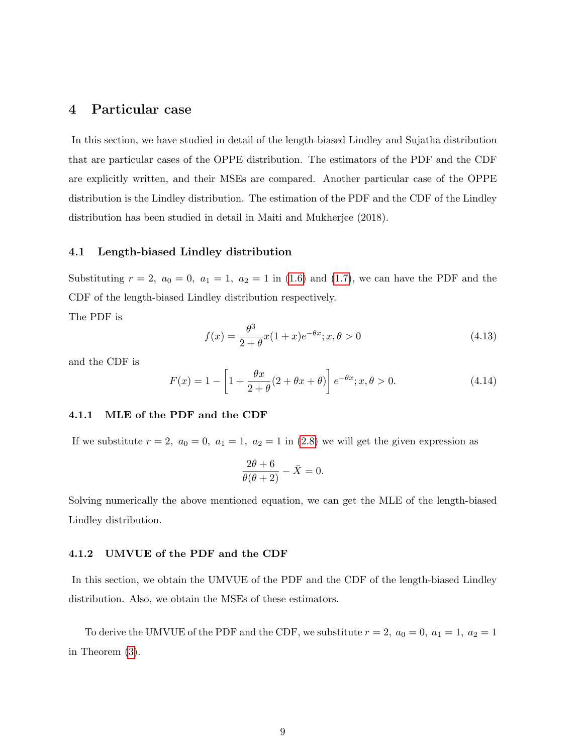## <span id="page-8-0"></span>4 Particular case

In this section, we have studied in detail of the length-biased Lindley and Sujatha distribution that are particular cases of the OPPE distribution. The estimators of the PDF and the CDF are explicitly written, and their MSEs are compared. Another particular case of the OPPE distribution is the Lindley distribution. The estimation of the PDF and the CDF of the Lindley distribution has been studied in detail in Maiti and Mukherjee (2018).

## 4.1 Length-biased Lindley distribution

Substituting  $r = 2$ ,  $a_0 = 0$ ,  $a_1 = 1$ ,  $a_2 = 1$  in [\(1.6\)](#page-2-0) and [\(1.7\)](#page-2-1), we can have the PDF and the CDF of the length-biased Lindley distribution respectively.

The PDF is

<span id="page-8-1"></span>
$$
f(x) = \frac{\theta^3}{2 + \theta} x (1 + x) e^{-\theta x}; x, \theta > 0
$$
\n(4.13)

and the CDF is

<span id="page-8-2"></span>
$$
F(x) = 1 - \left[1 + \frac{\theta x}{2 + \theta}(2 + \theta x + \theta)\right] e^{-\theta x}; x, \theta > 0.
$$
 (4.14)

#### 4.1.1 MLE of the PDF and the CDF

If we substitute  $r = 2$ ,  $a_0 = 0$ ,  $a_1 = 1$ ,  $a_2 = 1$  in [\(2.8\)](#page-4-1) we will get the given expression as

$$
\frac{2\theta + 6}{\theta(\theta + 2)} - \bar{X} = 0.
$$

Solving numerically the above mentioned equation, we can get the MLE of the length-biased Lindley distribution.

#### 4.1.2 UMVUE of the PDF and the CDF

In this section, we obtain the UMVUE of the PDF and the CDF of the length-biased Lindley distribution. Also, we obtain the MSEs of these estimators.

To derive the UMVUE of the PDF and the CDF, we substitute  $r = 2$ ,  $a_0 = 0$ ,  $a_1 = 1$ ,  $a_2 = 1$ in Theorem [\(3\)](#page-5-0).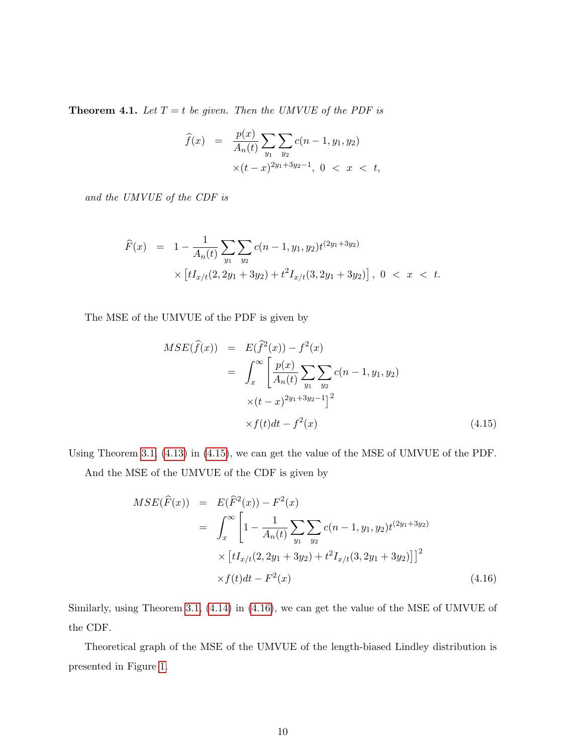**Theorem 4.1.** Let  $T = t$  be given. Then the UMVUE of the PDF is

$$
\widehat{f}(x) = \frac{p(x)}{A_n(t)} \sum_{y_1} \sum_{y_2} c(n-1, y_1, y_2)
$$
  
 
$$
\times (t-x)^{2y_1+3y_2-1}, \ 0 < x < t,
$$

and the UMVUE of the CDF is

$$
\widehat{F}(x) = 1 - \frac{1}{A_n(t)} \sum_{y_1} \sum_{y_2} c(n-1, y_1, y_2) t^{(2y_1+3y_2)} \times \left[ tI_{x/t}(2, 2y_1 + 3y_2) + t^2 I_{x/t}(3, 2y_1 + 3y_2) \right], \ 0 < x < t.
$$

The MSE of the UMVUE of the PDF is given by

<span id="page-9-0"></span>
$$
MSE(\widehat{f}(x)) = E(\widehat{f}^{2}(x)) - f^{2}(x)
$$
  
= 
$$
\int_{x}^{\infty} \left[ \frac{p(x)}{A_{n}(t)} \sum_{y_{1}} \sum_{y_{2}} c(n-1, y_{1}, y_{2}) \right. \\ \times (t-x)^{2y_{1}+3y_{2}-1} \big]^{2}
$$
  

$$
\times f(t)dt - f^{2}(x) \tag{4.15}
$$

Using Theorem [3](#page-5-1).1, [\(4.13\)](#page-8-1) in [\(4.15\)](#page-9-0), we can get the value of the MSE of UMVUE of the PDF.

And the MSE of the UMVUE of the CDF is given by

<span id="page-9-1"></span>
$$
MSE(\widehat{F}(x)) = E(\widehat{F}^{2}(x)) - F^{2}(x)
$$
  
= 
$$
\int_{x}^{\infty} \left[1 - \frac{1}{A_{n}(t)} \sum_{y_{1}} \sum_{y_{2}} c(n-1, y_{1}, y_{2}) t^{(2y_{1}+3y_{2})} \right. \times \left[ tI_{x/t}(2, 2y_{1}+3y_{2}) + t^{2} I_{x/t}(3, 2y_{1}+3y_{2}) \right]^{2}
$$
  

$$
\times f(t)dt - F^{2}(x)
$$
(4.16)

Similarly, using Theorem [3](#page-5-1).1, [\(4.14\)](#page-8-2) in [\(4.16\)](#page-9-1), we can get the value of the MSE of UMVUE of the CDF.

Theoretical graph of the MSE of the UMVUE of the length-biased Lindley distribution is presented in Figure [1.](#page-10-0)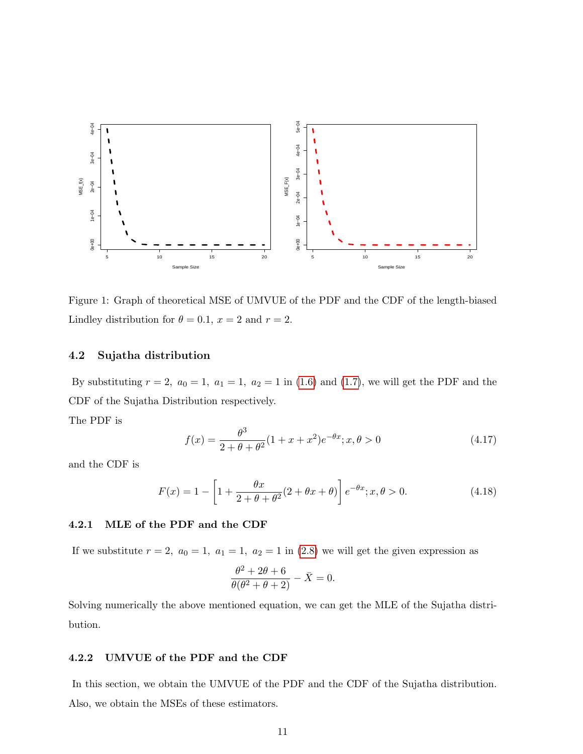

<span id="page-10-0"></span>Figure 1: Graph of theoretical MSE of UMVUE of the PDF and the CDF of the length-biased Lindley distribution for  $\theta = 0.1$ ,  $x = 2$  and  $r = 2$ .

## 4.2 Sujatha distribution

By substituting  $r = 2$ ,  $a_0 = 1$ ,  $a_1 = 1$ ,  $a_2 = 1$  in [\(1.6\)](#page-2-0) and [\(1.7\)](#page-2-1), we will get the PDF and the CDF of the Sujatha Distribution respectively.

The PDF is

<span id="page-10-1"></span>
$$
f(x) = \frac{\theta^3}{2 + \theta + \theta^2} (1 + x + x^2) e^{-\theta x}; x, \theta > 0
$$
\n(4.17)

and the CDF is

<span id="page-10-2"></span>
$$
F(x) = 1 - \left[1 + \frac{\theta x}{2 + \theta + \theta^2}(2 + \theta x + \theta)\right] e^{-\theta x}; x, \theta > 0.
$$
 (4.18)

#### 4.2.1 MLE of the PDF and the CDF

If we substitute  $r = 2$ ,  $a_0 = 1$ ,  $a_1 = 1$ ,  $a_2 = 1$  in [\(2.8\)](#page-4-1) we will get the given expression as

$$
\frac{\theta^2 + 2\theta + 6}{\theta(\theta^2 + \theta + 2)} - \bar{X} = 0.
$$

Solving numerically the above mentioned equation, we can get the MLE of the Sujatha distribution.

#### 4.2.2 UMVUE of the PDF and the CDF

In this section, we obtain the UMVUE of the PDF and the CDF of the Sujatha distribution. Also, we obtain the MSEs of these estimators.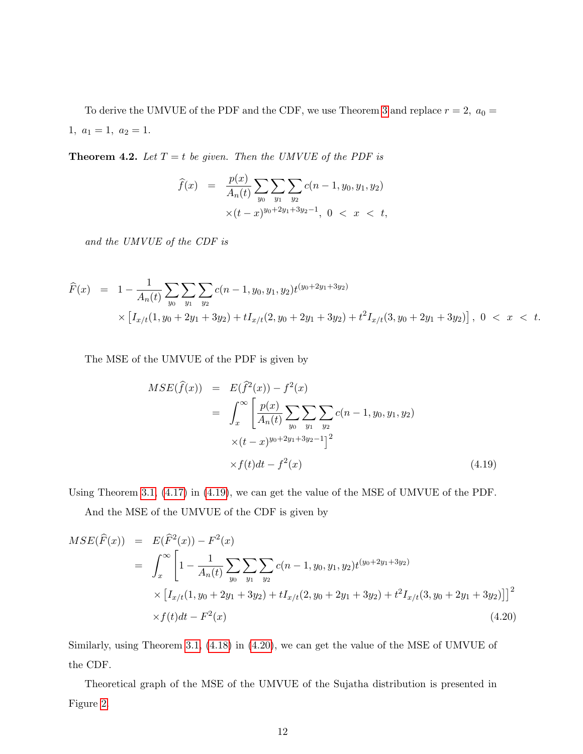To derive the UMVUE of the PDF and the CDF, we use Theorem [3](#page-5-0) and replace  $r = 2$ ,  $a_0 =$ 1,  $a_1 = 1$ ,  $a_2 = 1$ .

**Theorem 4.2.** Let  $T = t$  be given. Then the UMVUE of the PDF is

$$
\widehat{f}(x) = \frac{p(x)}{A_n(t)} \sum_{y_0} \sum_{y_1} \sum_{y_2} c(n-1, y_0, y_1, y_2)
$$
  
 
$$
\times (t-x)^{y_0+2y_1+3y_2-1}, \quad 0 < x < t,
$$

and the UMVUE of the CDF is

$$
\widehat{F}(x) = 1 - \frac{1}{A_n(t)} \sum_{y_0} \sum_{y_1} \sum_{y_2} c(n-1, y_0, y_1, y_2) t^{(y_0 + 2y_1 + 3y_2)} \times \left[ I_{x/t}(1, y_0 + 2y_1 + 3y_2) + tI_{x/t}(2, y_0 + 2y_1 + 3y_2) + t^2 I_{x/t}(3, y_0 + 2y_1 + 3y_2) \right], \ 0 < x < t.
$$

The MSE of the UMVUE of the PDF is given by

<span id="page-11-0"></span>
$$
MSE(\hat{f}(x)) = E(\hat{f}^{2}(x)) - f^{2}(x)
$$
  
= 
$$
\int_{x}^{\infty} \left[ \frac{p(x)}{A_{n}(t)} \sum_{y_{0}} \sum_{y_{1}} \sum_{y_{2}} c(n-1, y_{0}, y_{1}, y_{2}) \times (t-x)^{y_{0}+2y_{1}+3y_{2}-1} \right]^{2}
$$
  

$$
\times f(t)dt - f^{2}(x)
$$
(4.19)

Using Theorem [3](#page-5-1).1, [\(4.17\)](#page-10-1) in [\(4.19\)](#page-11-0), we can get the value of the MSE of UMVUE of the PDF.

And the MSE of the UMVUE of the CDF is given by

<span id="page-11-1"></span>
$$
MSE(\widehat{F}(x)) = E(\widehat{F}^{2}(x)) - F^{2}(x)
$$
  
= 
$$
\int_{x}^{\infty} \left[1 - \frac{1}{A_{n}(t)} \sum_{y_{0}} \sum_{y_{1}} \sum_{y_{2}} c(n-1, y_{0}, y_{1}, y_{2}) t^{(y_{0}+2y_{1}+3y_{2})} \right. \\ \times \left[ I_{x/t}(1, y_{0} + 2y_{1} + 3y_{2}) + t I_{x/t}(2, y_{0} + 2y_{1} + 3y_{2}) + t^{2} I_{x/t}(3, y_{0} + 2y_{1} + 3y_{2}) \right] \big]^{2}
$$
  

$$
\times f(t)dt - F^{2}(x)
$$
(4.20)

Similarly, using Theorem [3](#page-5-1).1, [\(4.18\)](#page-10-2) in [\(4.20\)](#page-11-1), we can get the value of the MSE of UMVUE of the CDF.

Theoretical graph of the MSE of the UMVUE of the Sujatha distribution is presented in Figure [2.](#page-12-1)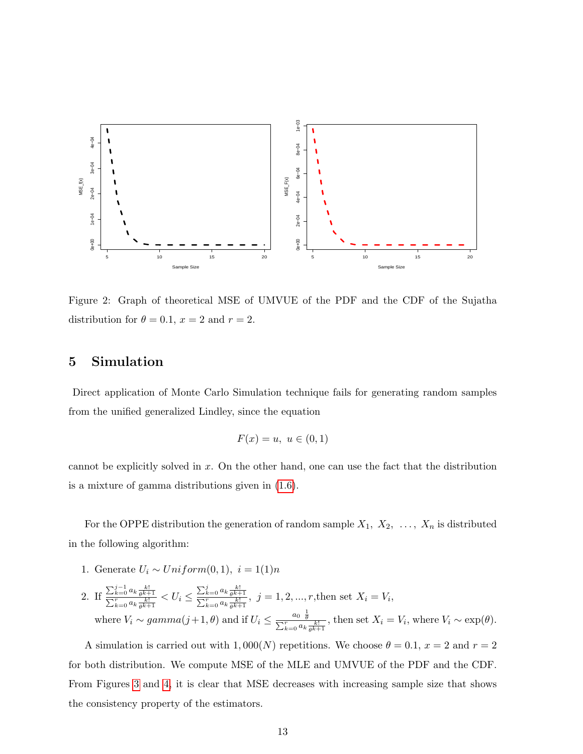

<span id="page-12-1"></span>Figure 2: Graph of theoretical MSE of UMVUE of the PDF and the CDF of the Sujatha distribution for  $\theta = 0.1$ ,  $x = 2$  and  $r = 2$ .

## <span id="page-12-0"></span>5 Simulation

Direct application of Monte Carlo Simulation technique fails for generating random samples from the unified generalized Lindley, since the equation

$$
F(x) = u, \ u \in (0,1)
$$

cannot be explicitly solved in x. On the other hand, one can use the fact that the distribution is a mixture of gamma distributions given in [\(1.6\)](#page-2-0).

For the OPPE distribution the generation of random sample  $X_1, X_2, \ldots, X_n$  is distributed in the following algorithm:

- 1. Generate  $U_i \sim Uniform(0, 1), i = 1(1)n$
- 2. If  $\frac{\sum_{k=0}^{j-1} a_k \frac{k!}{\theta^{k+1}}}{\sum_{k=0}^{r} a_k \frac{k!}{\theta^{k+1}}} < U_i \le \frac{\sum_{k=0}^{j} a_k \frac{k!}{\theta^{k+1}}}{\sum_{k=0}^{r} a_k \frac{k!}{\theta^{k+1}}}$ ,  $j = 1, 2, ..., r$ , then set  $X_i = V_i$ , where  $V_i \sim gamma(j+1, \theta)$  and if  $U_i \leq \frac{a_0 \frac{\theta}{\theta}}{\sum_{k=0}^{r} a_k \frac{k!}{\theta^{k+1}}}$ , then set  $X_i = V_i$ , where  $V_i \sim \exp(\theta)$ .

A simulation is carried out with 1,000(N) repetitions. We choose  $\theta = 0.1$ ,  $x = 2$  and  $r = 2$ for both distribution. We compute MSE of the MLE and UMVUE of the PDF and the CDF. From Figures [3](#page-13-1) and [4,](#page-13-2) it is clear that MSE decreases with increasing sample size that shows the consistency property of the estimators.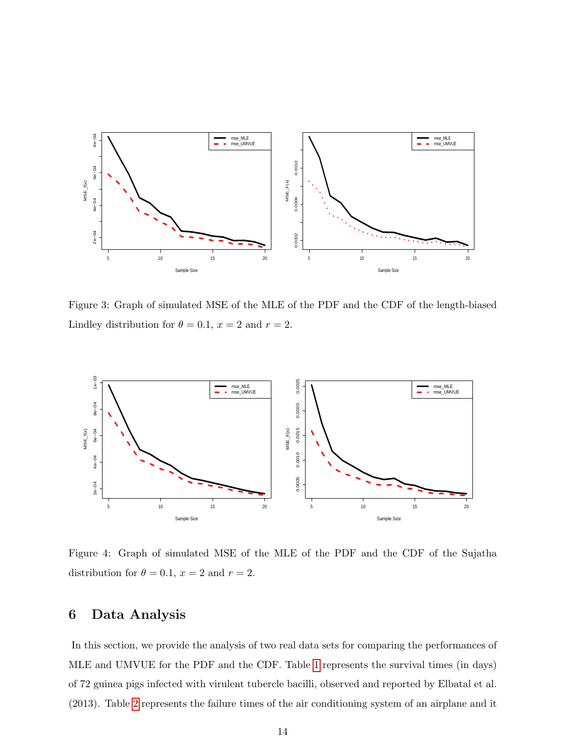

<span id="page-13-1"></span>Figure 3: Graph of simulated MSE of the MLE of the PDF and the CDF of the length-biased Lindley distribution for  $\theta = 0.1$ ,  $x = 2$  and  $r = 2$ .



<span id="page-13-2"></span>Figure 4: Graph of simulated MSE of the MLE of the PDF and the CDF of the Sujatha distribution for  $\theta = 0.1$ ,  $x = 2$  and  $r = 2$ .

## <span id="page-13-0"></span>6 Data Analysis

In this section, we provide the analysis of two real data sets for comparing the performances of MLE and UMVUE for the PDF and the CDF. Table [1](#page-14-0) represents the survival times (in days) of 72 guinea pigs infected with virulent tubercle bacilli, observed and reported by Elbatal et al. (2013). Table [2](#page-14-1) represents the failure times of the air conditioning system of an airplane and it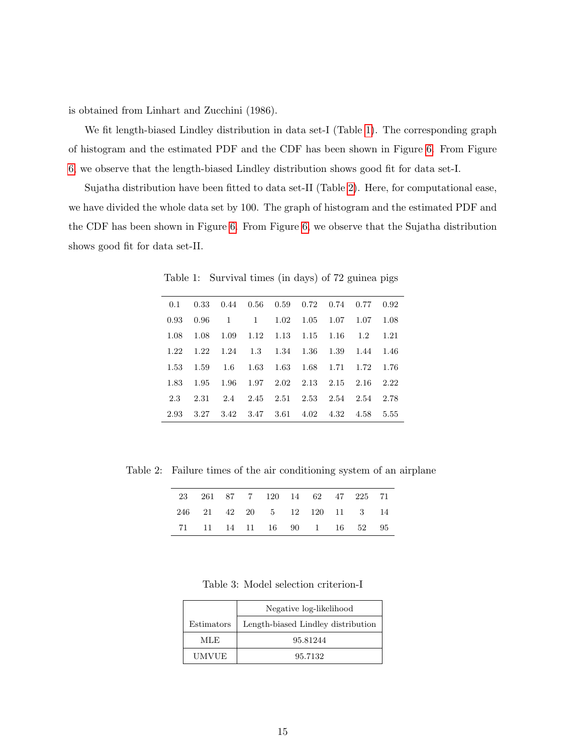is obtained from Linhart and Zucchini (1986).

We fit length-biased Lindley distribution in data set-I (Table [1\)](#page-14-0). The corresponding graph of histogram and the estimated PDF and the CDF has been shown in Figure [6.](#page-15-0) From Figure [6,](#page-15-0) we observe that the length-biased Lindley distribution shows good fit for data set-I.

Sujatha distribution have been fitted to data set-II (Table [2\)](#page-14-1). Here, for computational ease, we have divided the whole data set by 100. The graph of histogram and the estimated PDF and the CDF has been shown in Figure [6.](#page-15-1) From Figure [6,](#page-15-1) we observe that the Sujatha distribution shows good fit for data set-II.

| 0.1  |      |              | 0.33 0.44 0.56 0.59 0.72 0.74 0.77 0.92  |                               |      |      |      |      |
|------|------|--------------|------------------------------------------|-------------------------------|------|------|------|------|
| 0.93 | 0.96 | $\mathbf{1}$ | $\mathbf{1}$                             | 1.02                          | 1.05 | 1.07 | 1.07 | 1.08 |
| 1.08 | 1.08 |              | $1.09$ $1.12$ $1.13$ $1.15$ $1.16$ $1.2$ |                               |      |      |      | 1.21 |
| 1.22 | 1.22 |              | 1.24 1.3 1.34 1.36 1.39                  |                               |      |      | 1.44 | 1.46 |
| 1.53 | 1.59 | 1.6          |                                          | 1.63 1.63 1.68 1.71 1.72 1.76 |      |      |      |      |
| 1.83 | 1.95 | -- 1.96      | $1.97$ $2.02$ $2.13$ $2.15$ $2.16$       |                               |      |      |      | 2.22 |
| 2.3  | 2.31 |              | 2.4 2.45 2.51 2.53 2.54 2.54             |                               |      |      |      | 2.78 |
| 2.93 |      |              | 3.27 3.42 3.47 3.61 4.02 4.32 4.58       |                               |      |      |      | 5.55 |

<span id="page-14-0"></span>Table 1: Survival times (in days) of 72 guinea pigs

Table 2: Failure times of the air conditioning system of an airplane

<span id="page-14-1"></span>

| 23 261 87 7 120 14 62 47 225 71 |  |  |  |  |
|---------------------------------|--|--|--|--|
| 246 21 42 20 5 12 120 11 3 14   |  |  |  |  |
| 71 11 14 11 16 90 1 16 52 95    |  |  |  |  |

<span id="page-14-2"></span>Table 3: Model selection criterion-I

|              | Negative log-likelihood            |  |  |
|--------------|------------------------------------|--|--|
| Estimators   | Length-biased Lindley distribution |  |  |
| MLE.         | 95.81244                           |  |  |
| <b>UMVUE</b> | 95.7132                            |  |  |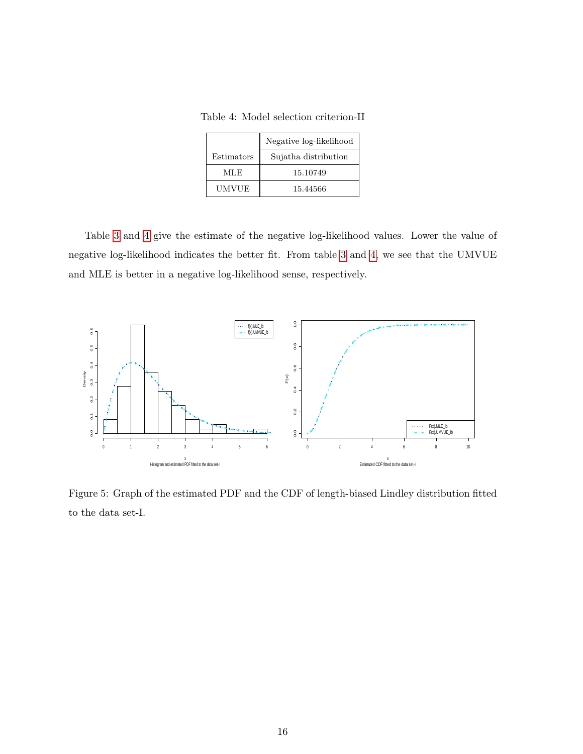<span id="page-15-0"></span>Table 4: Model selection criterion-II

|            | Negative log-likelihood |  |  |  |
|------------|-------------------------|--|--|--|
| Estimators | Sujatha distribution    |  |  |  |
| MLE.       | 15.10749                |  |  |  |
| UMVUE      | 15.44566                |  |  |  |

Table [3](#page-14-2) and [4](#page-15-0) give the estimate of the negative log-likelihood values. Lower the value of negative log-likelihood indicates the better fit. From table [3](#page-14-2) and [4,](#page-15-0) we see that the UMVUE and MLE is better in a negative log-likelihood sense, respectively.



<span id="page-15-1"></span>Figure 5: Graph of the estimated PDF and the CDF of length-biased Lindley distribution fitted to the data set-I.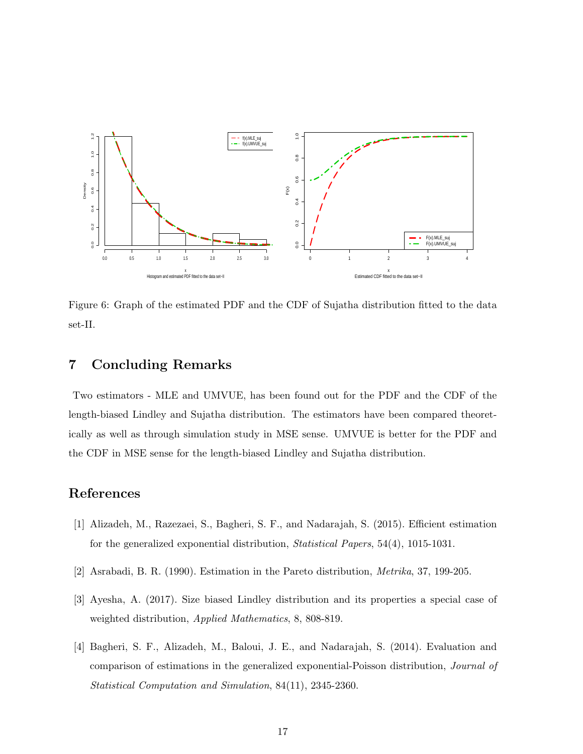

Figure 6: Graph of the estimated PDF and the CDF of Sujatha distribution fitted to the data set-II.

## <span id="page-16-0"></span>7 Concluding Remarks

Two estimators - MLE and UMVUE, has been found out for the PDF and the CDF of the length-biased Lindley and Sujatha distribution. The estimators have been compared theoretically as well as through simulation study in MSE sense. UMVUE is better for the PDF and the CDF in MSE sense for the length-biased Lindley and Sujatha distribution.

## References

- [1] Alizadeh, M., Razezaei, S., Bagheri, S. F., and Nadarajah, S. (2015). Efficient estimation for the generalized exponential distribution, Statistical Papers, 54(4), 1015-1031.
- [2] Asrabadi, B. R. (1990). Estimation in the Pareto distribution, Metrika, 37, 199-205.
- [3] Ayesha, A. (2017). Size biased Lindley distribution and its properties a special case of weighted distribution, Applied Mathematics, 8, 808-819.
- [4] Bagheri, S. F., Alizadeh, M., Baloui, J. E., and Nadarajah, S. (2014). Evaluation and comparison of estimations in the generalized exponential-Poisson distribution, Journal of Statistical Computation and Simulation, 84(11), 2345-2360.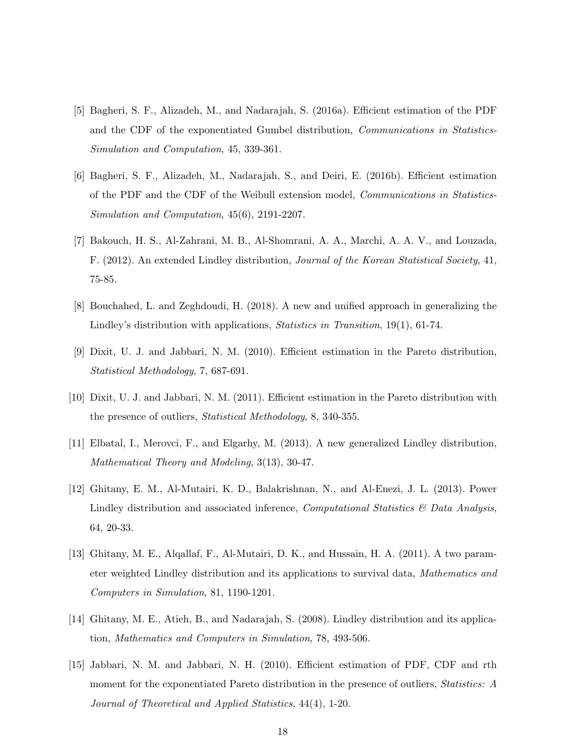- [5] Bagheri, S. F., Alizadeh, M., and Nadarajah, S. (2016a). Efficient estimation of the PDF and the CDF of the exponentiated Gumbel distribution, Communications in Statistics-Simulation and Computation, 45, 339-361.
- [6] Bagheri, S. F., Alizadeh, M., Nadarajah, S., and Deiri, E. (2016b). Efficient estimation of the PDF and the CDF of the Weibull extension model, Communications in Statistics-Simulation and Computation, 45(6), 2191-2207.
- [7] Bakouch, H. S., Al-Zahrani, M. B., Al-Shomrani, A. A., Marchi, A. A. V., and Louzada, F. (2012). An extended Lindley distribution, Journal of the Korean Statistical Society, 41, 75-85.
- [8] Bouchahed, L. and Zeghdoudi, H. (2018). A new and unified approach in generalizing the Lindley's distribution with applications, Statistics in Transition, 19(1), 61-74.
- [9] Dixit, U. J. and Jabbari, N. M. (2010). Efficient estimation in the Pareto distribution, Statistical Methodology, 7, 687-691.
- [10] Dixit, U. J. and Jabbari, N. M. (2011). Efficient estimation in the Pareto distribution with the presence of outliers, Statistical Methodology, 8, 340-355.
- [11] Elbatal, I., Merovci, F., and Elgarhy, M. (2013). A new generalized Lindley distribution, Mathematical Theory and Modeling, 3(13), 30-47.
- [12] Ghitany, E. M., Al-Mutairi, K. D., Balakrishnan, N., and Al-Enezi, J. L. (2013). Power Lindley distribution and associated inference, *Computational Statistics*  $\mathscr{B}$  Data Analysis, 64, 20-33.
- [13] Ghitany, M. E., Alqallaf, F., Al-Mutairi, D. K., and Hussain, H. A. (2011). A two parameter weighted Lindley distribution and its applications to survival data, Mathematics and Computers in Simulation, 81, 1190-1201.
- [14] Ghitany, M. E., Atieh, B., and Nadarajah, S. (2008). Lindley distribution and its application, Mathematics and Computers in Simulation, 78, 493-506.
- [15] Jabbari, N. M. and Jabbari, N. H. (2010). Efficient estimation of PDF, CDF and rth moment for the exponentiated Pareto distribution in the presence of outliers, *Statistics: A* Journal of Theoretical and Applied Statistics, 44(4), 1-20.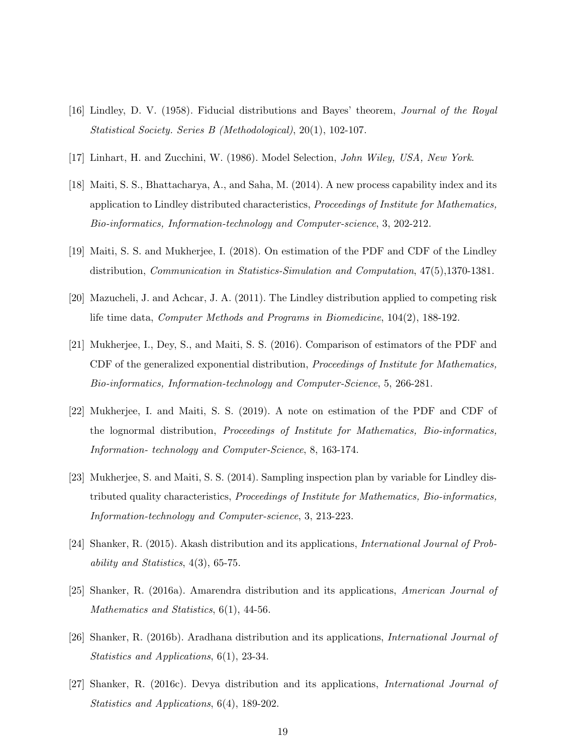- [16] Lindley, D. V. (1958). Fiducial distributions and Bayes' theorem, Journal of the Royal Statistical Society. Series B (Methodological), 20(1), 102-107.
- [17] Linhart, H. and Zucchini, W. (1986). Model Selection, John Wiley, USA, New York.
- [18] Maiti, S. S., Bhattacharya, A., and Saha, M. (2014). A new process capability index and its application to Lindley distributed characteristics, Proceedings of Institute for Mathematics, Bio-informatics, Information-technology and Computer-science, 3, 202-212.
- [19] Maiti, S. S. and Mukherjee, I. (2018). On estimation of the PDF and CDF of the Lindley distribution, Communication in Statistics-Simulation and Computation, 47(5),1370-1381.
- [20] Mazucheli, J. and Achcar, J. A. (2011). The Lindley distribution applied to competing risk life time data, Computer Methods and Programs in Biomedicine, 104(2), 188-192.
- [21] Mukherjee, I., Dey, S., and Maiti, S. S. (2016). Comparison of estimators of the PDF and CDF of the generalized exponential distribution, Proceedings of Institute for Mathematics, Bio-informatics, Information-technology and Computer-Science, 5, 266-281.
- [22] Mukherjee, I. and Maiti, S. S. (2019). A note on estimation of the PDF and CDF of the lognormal distribution, Proceedings of Institute for Mathematics, Bio-informatics, Information- technology and Computer-Science, 8, 163-174.
- [23] Mukherjee, S. and Maiti, S. S. (2014). Sampling inspection plan by variable for Lindley distributed quality characteristics, Proceedings of Institute for Mathematics, Bio-informatics, Information-technology and Computer-science, 3, 213-223.
- [24] Shanker, R. (2015). Akash distribution and its applications, International Journal of Probability and Statistics, 4(3), 65-75.
- [25] Shanker, R. (2016a). Amarendra distribution and its applications, American Journal of Mathematics and Statistics,  $6(1)$ , 44-56.
- [26] Shanker, R. (2016b). Aradhana distribution and its applications, International Journal of Statistics and Applications, 6(1), 23-34.
- [27] Shanker, R. (2016c). Devya distribution and its applications, International Journal of Statistics and Applications, 6(4), 189-202.